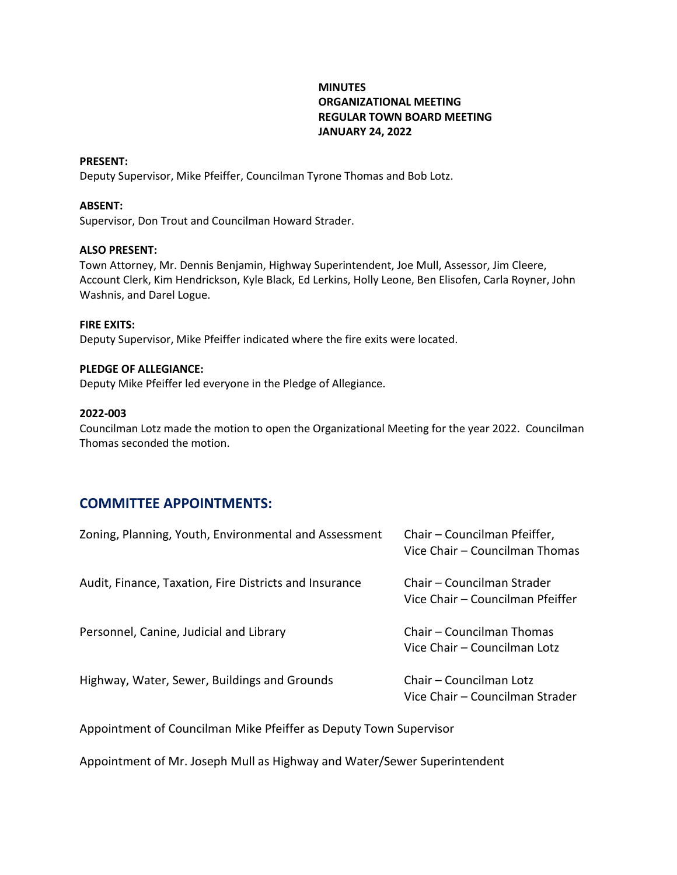## **MINUTES ORGANIZATIONAL MEETING REGULAR TOWN BOARD MEETING JANUARY 24, 2022**

### **PRESENT:**

Deputy Supervisor, Mike Pfeiffer, Councilman Tyrone Thomas and Bob Lotz.

### **ABSENT:**

Supervisor, Don Trout and Councilman Howard Strader.

### **ALSO PRESENT:**

Town Attorney, Mr. Dennis Benjamin, Highway Superintendent, Joe Mull, Assessor, Jim Cleere, Account Clerk, Kim Hendrickson, Kyle Black, Ed Lerkins, Holly Leone, Ben Elisofen, Carla Royner, John Washnis, and Darel Logue.

### **FIRE EXITS:**

Deputy Supervisor, Mike Pfeiffer indicated where the fire exits were located.

### **PLEDGE OF ALLEGIANCE:**

Deputy Mike Pfeiffer led everyone in the Pledge of Allegiance.

### **2022-003**

Councilman Lotz made the motion to open the Organizational Meeting for the year 2022. Councilman Thomas seconded the motion.

## **COMMITTEE APPOINTMENTS:**

| Zoning, Planning, Youth, Environmental and Assessment  | Chair - Councilman Pfeiffer,<br>Vice Chair – Councilman Thomas |
|--------------------------------------------------------|----------------------------------------------------------------|
| Audit, Finance, Taxation, Fire Districts and Insurance | Chair – Councilman Strader<br>Vice Chair – Councilman Pfeiffer |
| Personnel, Canine, Judicial and Library                | Chair – Councilman Thomas<br>Vice Chair – Councilman Lotz      |
| Highway, Water, Sewer, Buildings and Grounds           | Chair – Councilman Lotz<br>Vice Chair – Councilman Strader     |

Appointment of Councilman Mike Pfeiffer as Deputy Town Supervisor

Appointment of Mr. Joseph Mull as Highway and Water/Sewer Superintendent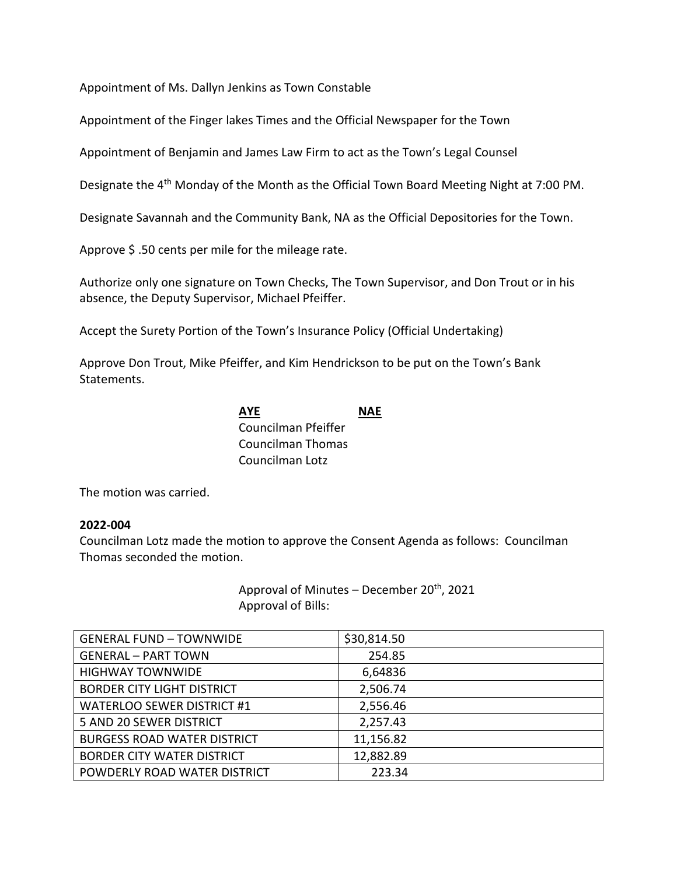Appointment of Ms. Dallyn Jenkins as Town Constable

Appointment of the Finger lakes Times and the Official Newspaper for the Town

Appointment of Benjamin and James Law Firm to act as the Town's Legal Counsel

Designate the 4<sup>th</sup> Monday of the Month as the Official Town Board Meeting Night at 7:00 PM.

Designate Savannah and the Community Bank, NA as the Official Depositories for the Town.

Approve \$.50 cents per mile for the mileage rate.

Authorize only one signature on Town Checks, The Town Supervisor, and Don Trout or in his absence, the Deputy Supervisor, Michael Pfeiffer.

Accept the Surety Portion of the Town's Insurance Policy (Official Undertaking)

Approve Don Trout, Mike Pfeiffer, and Kim Hendrickson to be put on the Town's Bank Statements.

## **AYE NAE** Councilman Pfeiffer Councilman Thomas Councilman Lotz

The motion was carried.

### **2022-004**

Councilman Lotz made the motion to approve the Consent Agenda as follows: Councilman Thomas seconded the motion.

> Approval of Minutes – December  $20<sup>th</sup>$ , 2021 Approval of Bills:

| <b>GENERAL FUND - TOWNWIDE</b>     | \$30,814.50 |
|------------------------------------|-------------|
| <b>GENERAL - PART TOWN</b>         | 254.85      |
| <b>HIGHWAY TOWNWIDE</b>            | 6,64836     |
| <b>BORDER CITY LIGHT DISTRICT</b>  | 2,506.74    |
| <b>WATERLOO SEWER DISTRICT #1</b>  | 2,556.46    |
| 5 AND 20 SEWER DISTRICT            | 2,257.43    |
| <b>BURGESS ROAD WATER DISTRICT</b> | 11,156.82   |
| <b>BORDER CITY WATER DISTRICT</b>  | 12,882.89   |
| POWDERLY ROAD WATER DISTRICT       | 223.34      |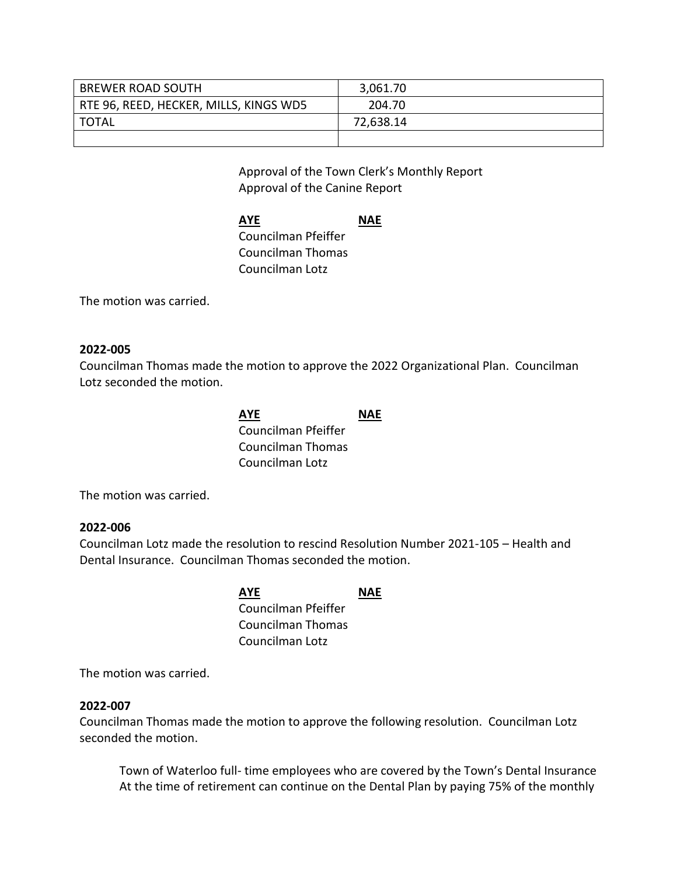| <b>BREWER ROAD SOUTH</b>               | 3,061.70  |
|----------------------------------------|-----------|
| RTE 96, REED, HECKER, MILLS, KINGS WD5 | 204.70    |
| <b>TOTAL</b>                           | 72,638.14 |
|                                        |           |

Approval of the Town Clerk's Monthly Report Approval of the Canine Report

**AYE NAE** Councilman Pfeiffer Councilman Thomas Councilman Lotz

The motion was carried.

### **2022-005**

Councilman Thomas made the motion to approve the 2022 Organizational Plan. Councilman Lotz seconded the motion.

| <b>AYE</b>          | <b>NAE</b> |
|---------------------|------------|
| Councilman Pfeiffer |            |
| Councilman Thomas   |            |
| Councilman Lotz     |            |

The motion was carried.

### **2022-006**

Councilman Lotz made the resolution to rescind Resolution Number 2021-105 – Health and Dental Insurance. Councilman Thomas seconded the motion.

> **AYE NAE** Councilman Pfeiffer Councilman Thomas Councilman Lotz

The motion was carried.

### **2022-007**

Councilman Thomas made the motion to approve the following resolution. Councilman Lotz seconded the motion.

Town of Waterloo full- time employees who are covered by the Town's Dental Insurance At the time of retirement can continue on the Dental Plan by paying 75% of the monthly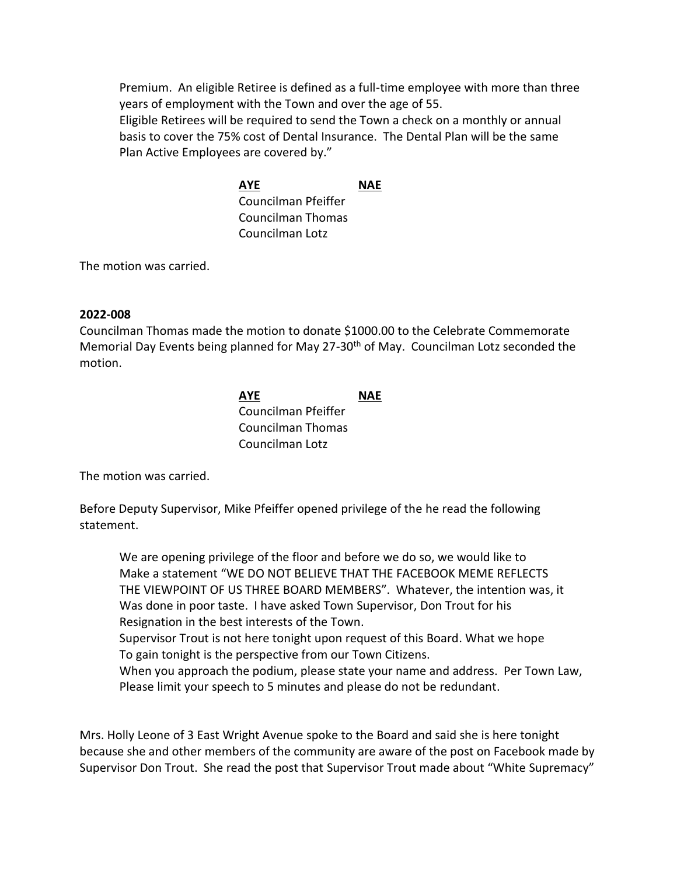Premium. An eligible Retiree is defined as a full-time employee with more than three years of employment with the Town and over the age of 55. Eligible Retirees will be required to send the Town a check on a monthly or annual basis to cover the 75% cost of Dental Insurance. The Dental Plan will be the same

Plan Active Employees are covered by."

**AYE NAE** Councilman Pfeiffer Councilman Thomas Councilman Lotz

The motion was carried.

## **2022-008**

Councilman Thomas made the motion to donate \$1000.00 to the Celebrate Commemorate Memorial Day Events being planned for May 27-30<sup>th</sup> of May. Councilman Lotz seconded the motion.

> **AYE NAE** Councilman Pfeiffer Councilman Thomas Councilman Lotz

The motion was carried.

Before Deputy Supervisor, Mike Pfeiffer opened privilege of the he read the following statement.

We are opening privilege of the floor and before we do so, we would like to Make a statement "WE DO NOT BELIEVE THAT THE FACEBOOK MEME REFLECTS THE VIEWPOINT OF US THREE BOARD MEMBERS". Whatever, the intention was, it Was done in poor taste. I have asked Town Supervisor, Don Trout for his Resignation in the best interests of the Town.

Supervisor Trout is not here tonight upon request of this Board. What we hope To gain tonight is the perspective from our Town Citizens.

When you approach the podium, please state your name and address. Per Town Law, Please limit your speech to 5 minutes and please do not be redundant.

Mrs. Holly Leone of 3 East Wright Avenue spoke to the Board and said she is here tonight because she and other members of the community are aware of the post on Facebook made by Supervisor Don Trout. She read the post that Supervisor Trout made about "White Supremacy"